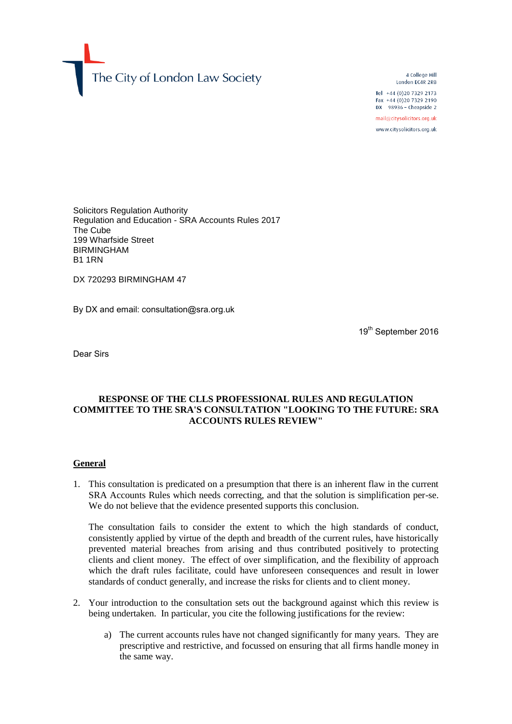The City of London Law Society

4 College Hill London EC4R 2RB

Tel +44 (0) 20 7329 2173 Fax +44 (0)20 7329 2190  $DX$  98936 - Cheapside 2

mail@citysolicitors.org.uk www.citysolicitors.org.uk

Solicitors Regulation Authority Regulation and Education - SRA Accounts Rules 2017 The Cube 199 Wharfside Street BIRMINGHAM B1 1RN

DX 720293 BIRMINGHAM 47

By DX and email: consultation@sra.org.uk

19<sup>th</sup> September 2016

Dear Sirs

# **RESPONSE OF THE CLLS PROFESSIONAL RULES AND REGULATION COMMITTEE TO THE SRA'S CONSULTATION "LOOKING TO THE FUTURE: SRA ACCOUNTS RULES REVIEW"**

#### **General**

1. This consultation is predicated on a presumption that there is an inherent flaw in the current SRA Accounts Rules which needs correcting, and that the solution is simplification per-se. We do not believe that the evidence presented supports this conclusion.

The consultation fails to consider the extent to which the high standards of conduct, consistently applied by virtue of the depth and breadth of the current rules, have historically prevented material breaches from arising and thus contributed positively to protecting clients and client money. The effect of over simplification, and the flexibility of approach which the draft rules facilitate, could have unforeseen consequences and result in lower standards of conduct generally, and increase the risks for clients and to client money.

- 2. Your introduction to the consultation sets out the background against which this review is being undertaken. In particular, you cite the following justifications for the review:
	- a) The current accounts rules have not changed significantly for many years. They are prescriptive and restrictive, and focussed on ensuring that all firms handle money in the same way.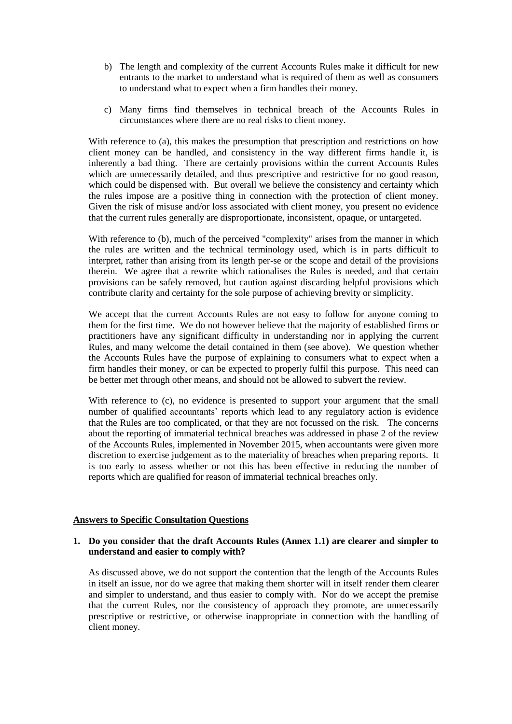- b) The length and complexity of the current Accounts Rules make it difficult for new entrants to the market to understand what is required of them as well as consumers to understand what to expect when a firm handles their money.
- c) Many firms find themselves in technical breach of the Accounts Rules in circumstances where there are no real risks to client money.

With reference to (a), this makes the presumption that prescription and restrictions on how client money can be handled, and consistency in the way different firms handle it, is inherently a bad thing. There are certainly provisions within the current Accounts Rules which are unnecessarily detailed, and thus prescriptive and restrictive for no good reason, which could be dispensed with. But overall we believe the consistency and certainty which the rules impose are a positive thing in connection with the protection of client money. Given the risk of misuse and/or loss associated with client money, you present no evidence that the current rules generally are disproportionate, inconsistent, opaque, or untargeted.

With reference to (b), much of the perceived "complexity" arises from the manner in which the rules are written and the technical terminology used, which is in parts difficult to interpret, rather than arising from its length per-se or the scope and detail of the provisions therein. We agree that a rewrite which rationalises the Rules is needed, and that certain provisions can be safely removed, but caution against discarding helpful provisions which contribute clarity and certainty for the sole purpose of achieving brevity or simplicity.

We accept that the current Accounts Rules are not easy to follow for anyone coming to them for the first time. We do not however believe that the majority of established firms or practitioners have any significant difficulty in understanding nor in applying the current Rules, and many welcome the detail contained in them (see above). We question whether the Accounts Rules have the purpose of explaining to consumers what to expect when a firm handles their money, or can be expected to properly fulfil this purpose. This need can be better met through other means, and should not be allowed to subvert the review.

With reference to (c), no evidence is presented to support your argument that the small number of qualified accountants' reports which lead to any regulatory action is evidence that the Rules are too complicated, or that they are not focussed on the risk. The concerns about the reporting of immaterial technical breaches was addressed in phase 2 of the review of the Accounts Rules, implemented in November 2015, when accountants were given more discretion to exercise judgement as to the materiality of breaches when preparing reports. It is too early to assess whether or not this has been effective in reducing the number of reports which are qualified for reason of immaterial technical breaches only.

## **Answers to Specific Consultation Questions**

## **1. Do you consider that the draft Accounts Rules (Annex 1.1) are clearer and simpler to understand and easier to comply with?**

As discussed above, we do not support the contention that the length of the Accounts Rules in itself an issue, nor do we agree that making them shorter will in itself render them clearer and simpler to understand, and thus easier to comply with. Nor do we accept the premise that the current Rules, nor the consistency of approach they promote, are unnecessarily prescriptive or restrictive, or otherwise inappropriate in connection with the handling of client money.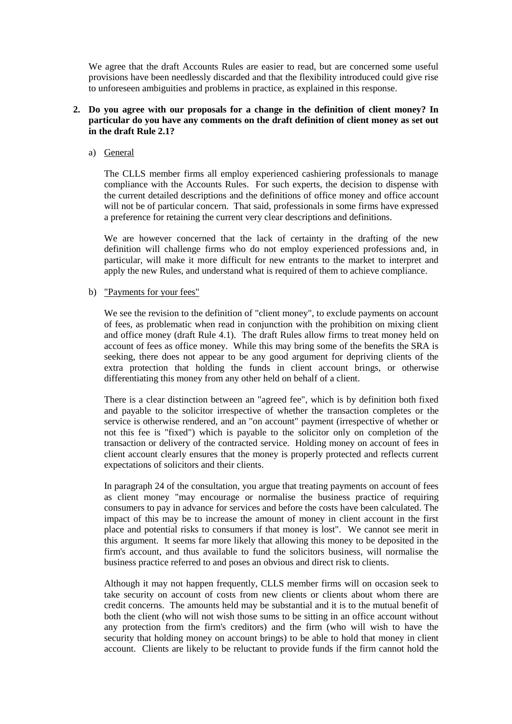We agree that the draft Accounts Rules are easier to read, but are concerned some useful provisions have been needlessly discarded and that the flexibility introduced could give rise to unforeseen ambiguities and problems in practice, as explained in this response.

# **2. Do you agree with our proposals for a change in the definition of client money? In particular do you have any comments on the draft definition of client money as set out in the draft Rule 2.1?**

a) General

The CLLS member firms all employ experienced cashiering professionals to manage compliance with the Accounts Rules. For such experts, the decision to dispense with the current detailed descriptions and the definitions of office money and office account will not be of particular concern. That said, professionals in some firms have expressed a preference for retaining the current very clear descriptions and definitions.

We are however concerned that the lack of certainty in the drafting of the new definition will challenge firms who do not employ experienced professions and, in particular, will make it more difficult for new entrants to the market to interpret and apply the new Rules, and understand what is required of them to achieve compliance.

#### b) "Payments for your fees"

We see the revision to the definition of "client money", to exclude payments on account of fees, as problematic when read in conjunction with the prohibition on mixing client and office money (draft Rule 4.1). The draft Rules allow firms to treat money held on account of fees as office money. While this may bring some of the benefits the SRA is seeking, there does not appear to be any good argument for depriving clients of the extra protection that holding the funds in client account brings, or otherwise differentiating this money from any other held on behalf of a client.

There is a clear distinction between an "agreed fee", which is by definition both fixed and payable to the solicitor irrespective of whether the transaction completes or the service is otherwise rendered, and an "on account" payment (irrespective of whether or not this fee is "fixed") which is payable to the solicitor only on completion of the transaction or delivery of the contracted service. Holding money on account of fees in client account clearly ensures that the money is properly protected and reflects current expectations of solicitors and their clients.

In paragraph 24 of the consultation, you argue that treating payments on account of fees as client money "may encourage or normalise the business practice of requiring consumers to pay in advance for services and before the costs have been calculated. The impact of this may be to increase the amount of money in client account in the first place and potential risks to consumers if that money is lost". We cannot see merit in this argument. It seems far more likely that allowing this money to be deposited in the firm's account, and thus available to fund the solicitors business, will normalise the business practice referred to and poses an obvious and direct risk to clients.

Although it may not happen frequently, CLLS member firms will on occasion seek to take security on account of costs from new clients or clients about whom there are credit concerns. The amounts held may be substantial and it is to the mutual benefit of both the client (who will not wish those sums to be sitting in an office account without any protection from the firm's creditors) and the firm (who will wish to have the security that holding money on account brings) to be able to hold that money in client account. Clients are likely to be reluctant to provide funds if the firm cannot hold the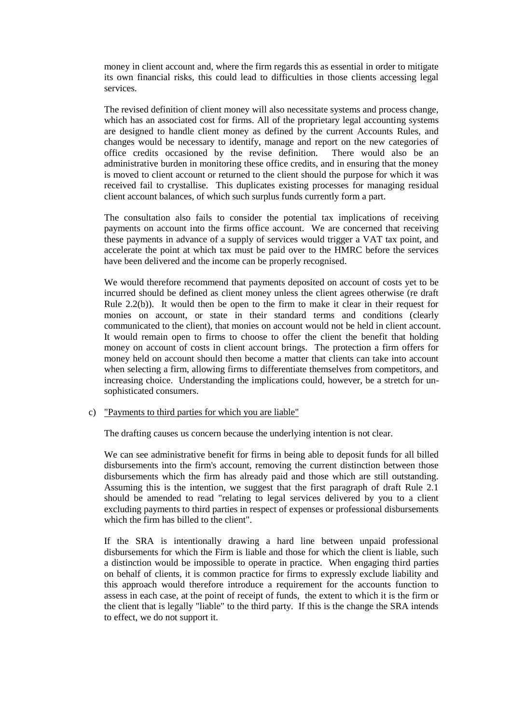money in client account and, where the firm regards this as essential in order to mitigate its own financial risks, this could lead to difficulties in those clients accessing legal services.

The revised definition of client money will also necessitate systems and process change, which has an associated cost for firms. All of the proprietary legal accounting systems are designed to handle client money as defined by the current Accounts Rules, and changes would be necessary to identify, manage and report on the new categories of office credits occasioned by the revise definition. There would also be an administrative burden in monitoring these office credits, and in ensuring that the money is moved to client account or returned to the client should the purpose for which it was received fail to crystallise. This duplicates existing processes for managing residual client account balances, of which such surplus funds currently form a part.

The consultation also fails to consider the potential tax implications of receiving payments on account into the firms office account. We are concerned that receiving these payments in advance of a supply of services would trigger a VAT tax point, and accelerate the point at which tax must be paid over to the HMRC before the services have been delivered and the income can be properly recognised.

We would therefore recommend that payments deposited on account of costs yet to be incurred should be defined as client money unless the client agrees otherwise (re draft Rule 2.2(b)). It would then be open to the firm to make it clear in their request for monies on account, or state in their standard terms and conditions (clearly communicated to the client), that monies on account would not be held in client account. It would remain open to firms to choose to offer the client the benefit that holding money on account of costs in client account brings. The protection a firm offers for money held on account should then become a matter that clients can take into account when selecting a firm, allowing firms to differentiate themselves from competitors, and increasing choice. Understanding the implications could, however, be a stretch for unsophisticated consumers.

# c) "Payments to third parties for which you are liable"

The drafting causes us concern because the underlying intention is not clear.

We can see administrative benefit for firms in being able to deposit funds for all billed disbursements into the firm's account, removing the current distinction between those disbursements which the firm has already paid and those which are still outstanding. Assuming this is the intention, we suggest that the first paragraph of draft Rule 2.1 should be amended to read "relating to legal services delivered by you to a client excluding payments to third parties in respect of expenses or professional disbursements which the firm has billed to the client".

If the SRA is intentionally drawing a hard line between unpaid professional disbursements for which the Firm is liable and those for which the client is liable, such a distinction would be impossible to operate in practice. When engaging third parties on behalf of clients, it is common practice for firms to expressly exclude liability and this approach would therefore introduce a requirement for the accounts function to assess in each case, at the point of receipt of funds, the extent to which it is the firm or the client that is legally "liable" to the third party. If this is the change the SRA intends to effect, we do not support it.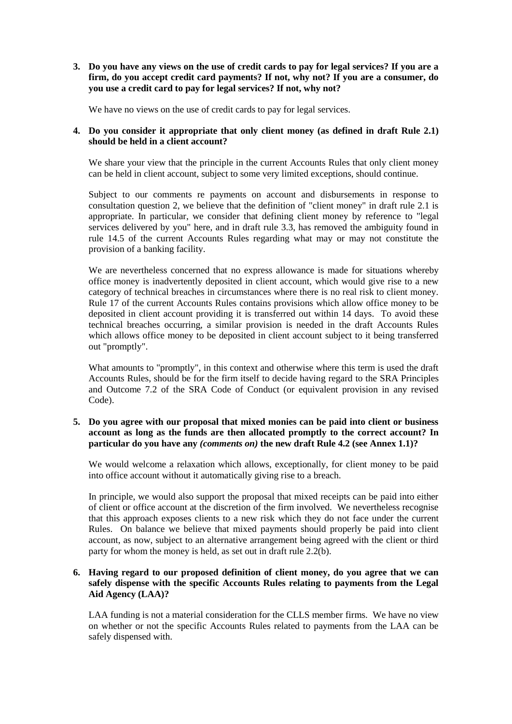**3. Do you have any views on the use of credit cards to pay for legal services? If you are a firm, do you accept credit card payments? If not, why not? If you are a consumer, do you use a credit card to pay for legal services? If not, why not?** 

We have no views on the use of credit cards to pay for legal services.

# **4. Do you consider it appropriate that only client money (as defined in draft Rule 2.1) should be held in a client account?**

We share your view that the principle in the current Accounts Rules that only client money can be held in client account, subject to some very limited exceptions, should continue.

Subject to our comments re payments on account and disbursements in response to consultation question 2, we believe that the definition of "client money" in draft rule 2.1 is appropriate. In particular, we consider that defining client money by reference to "legal services delivered by you" here, and in draft rule 3.3, has removed the ambiguity found in rule 14.5 of the current Accounts Rules regarding what may or may not constitute the provision of a banking facility.

We are nevertheless concerned that no express allowance is made for situations whereby office money is inadvertently deposited in client account, which would give rise to a new category of technical breaches in circumstances where there is no real risk to client money. Rule 17 of the current Accounts Rules contains provisions which allow office money to be deposited in client account providing it is transferred out within 14 days. To avoid these technical breaches occurring, a similar provision is needed in the draft Accounts Rules which allows office money to be deposited in client account subject to it being transferred out "promptly".

What amounts to "promptly", in this context and otherwise where this term is used the draft Accounts Rules, should be for the firm itself to decide having regard to the SRA Principles and Outcome 7.2 of the SRA Code of Conduct (or equivalent provision in any revised Code).

# **5. Do you agree with our proposal that mixed monies can be paid into client or business account as long as the funds are then allocated promptly to the correct account? In particular do you have any** *(comments on)* **the new draft Rule 4.2 (see Annex 1.1)?**

We would welcome a relaxation which allows, exceptionally, for client money to be paid into office account without it automatically giving rise to a breach.

In principle, we would also support the proposal that mixed receipts can be paid into either of client or office account at the discretion of the firm involved. We nevertheless recognise that this approach exposes clients to a new risk which they do not face under the current Rules. On balance we believe that mixed payments should properly be paid into client account, as now, subject to an alternative arrangement being agreed with the client or third party for whom the money is held, as set out in draft rule 2.2(b).

# **6. Having regard to our proposed definition of client money, do you agree that we can safely dispense with the specific Accounts Rules relating to payments from the Legal Aid Agency (LAA)?**

LAA funding is not a material consideration for the CLLS member firms. We have no view on whether or not the specific Accounts Rules related to payments from the LAA can be safely dispensed with.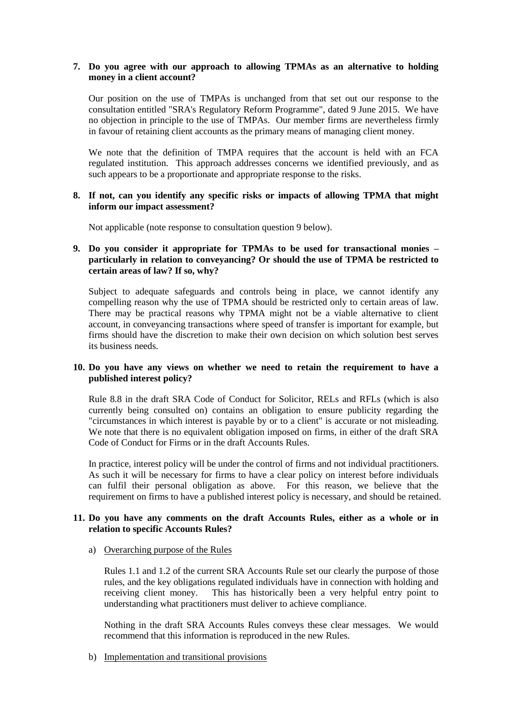### **7. Do you agree with our approach to allowing TPMAs as an alternative to holding money in a client account?**

Our position on the use of TMPAs is unchanged from that set out our response to the consultation entitled "SRA's Regulatory Reform Programme", dated 9 June 2015. We have no objection in principle to the use of TMPAs. Our member firms are nevertheless firmly in favour of retaining client accounts as the primary means of managing client money.

We note that the definition of TMPA requires that the account is held with an FCA regulated institution. This approach addresses concerns we identified previously, and as such appears to be a proportionate and appropriate response to the risks.

## **8. If not, can you identify any specific risks or impacts of allowing TPMA that might inform our impact assessment?**

Not applicable (note response to consultation question 9 below).

# **9. Do you consider it appropriate for TPMAs to be used for transactional monies – particularly in relation to conveyancing? Or should the use of TPMA be restricted to certain areas of law? If so, why?**

Subject to adequate safeguards and controls being in place, we cannot identify any compelling reason why the use of TPMA should be restricted only to certain areas of law. There may be practical reasons why TPMA might not be a viable alternative to client account, in conveyancing transactions where speed of transfer is important for example, but firms should have the discretion to make their own decision on which solution best serves its business needs.

## **10. Do you have any views on whether we need to retain the requirement to have a published interest policy?**

Rule 8.8 in the draft SRA Code of Conduct for Solicitor, RELs and RFLs (which is also currently being consulted on) contains an obligation to ensure publicity regarding the "circumstances in which interest is payable by or to a client" is accurate or not misleading. We note that there is no equivalent obligation imposed on firms, in either of the draft SRA Code of Conduct for Firms or in the draft Accounts Rules.

In practice, interest policy will be under the control of firms and not individual practitioners. As such it will be necessary for firms to have a clear policy on interest before individuals can fulfil their personal obligation as above. For this reason, we believe that the requirement on firms to have a published interest policy is necessary, and should be retained.

# **11. Do you have any comments on the draft Accounts Rules, either as a whole or in relation to specific Accounts Rules?**

## a) Overarching purpose of the Rules

Rules 1.1 and 1.2 of the current SRA Accounts Rule set our clearly the purpose of those rules, and the key obligations regulated individuals have in connection with holding and receiving client money. This has historically been a very helpful entry point to understanding what practitioners must deliver to achieve compliance.

Nothing in the draft SRA Accounts Rules conveys these clear messages. We would recommend that this information is reproduced in the new Rules.

b) Implementation and transitional provisions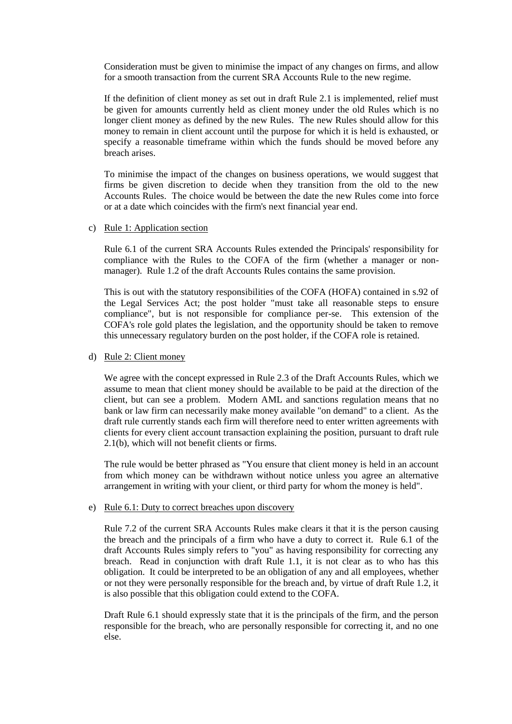Consideration must be given to minimise the impact of any changes on firms, and allow for a smooth transaction from the current SRA Accounts Rule to the new regime.

If the definition of client money as set out in draft Rule 2.1 is implemented, relief must be given for amounts currently held as client money under the old Rules which is no longer client money as defined by the new Rules. The new Rules should allow for this money to remain in client account until the purpose for which it is held is exhausted, or specify a reasonable timeframe within which the funds should be moved before any breach arises.

To minimise the impact of the changes on business operations, we would suggest that firms be given discretion to decide when they transition from the old to the new Accounts Rules. The choice would be between the date the new Rules come into force or at a date which coincides with the firm's next financial year end.

#### c) Rule 1: Application section

Rule 6.1 of the current SRA Accounts Rules extended the Principals' responsibility for compliance with the Rules to the COFA of the firm (whether a manager or nonmanager). Rule 1.2 of the draft Accounts Rules contains the same provision.

This is out with the statutory responsibilities of the COFA (HOFA) contained in s.92 of the Legal Services Act; the post holder "must take all reasonable steps to ensure compliance", but is not responsible for compliance per-se. This extension of the COFA's role gold plates the legislation, and the opportunity should be taken to remove this unnecessary regulatory burden on the post holder, if the COFA role is retained.

#### d) Rule 2: Client money

We agree with the concept expressed in Rule 2.3 of the Draft Accounts Rules, which we assume to mean that client money should be available to be paid at the direction of the client, but can see a problem. Modern AML and sanctions regulation means that no bank or law firm can necessarily make money available "on demand" to a client. As the draft rule currently stands each firm will therefore need to enter written agreements with clients for every client account transaction explaining the position, pursuant to draft rule 2.1(b), which will not benefit clients or firms.

The rule would be better phrased as "You ensure that client money is held in an account from which money can be withdrawn without notice unless you agree an alternative arrangement in writing with your client, or third party for whom the money is held".

#### e) Rule 6.1: Duty to correct breaches upon discovery

Rule 7.2 of the current SRA Accounts Rules make clears it that it is the person causing the breach and the principals of a firm who have a duty to correct it. Rule 6.1 of the draft Accounts Rules simply refers to "you" as having responsibility for correcting any breach. Read in conjunction with draft Rule 1.1, it is not clear as to who has this obligation. It could be interpreted to be an obligation of any and all employees, whether or not they were personally responsible for the breach and, by virtue of draft Rule 1.2, it is also possible that this obligation could extend to the COFA.

Draft Rule 6.1 should expressly state that it is the principals of the firm, and the person responsible for the breach, who are personally responsible for correcting it, and no one else.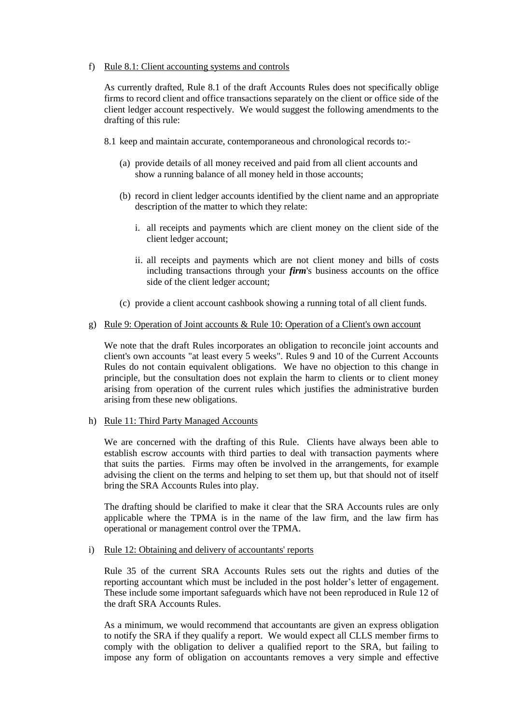#### f) Rule 8.1: Client accounting systems and controls

As currently drafted, Rule 8.1 of the draft Accounts Rules does not specifically oblige firms to record client and office transactions separately on the client or office side of the client ledger account respectively. We would suggest the following amendments to the drafting of this rule:

- 8.1 keep and maintain accurate, contemporaneous and chronological records to:-
	- (a) provide details of all money received and paid from all client accounts and show a running balance of all money held in those accounts;
	- (b) record in client ledger accounts identified by the client name and an appropriate description of the matter to which they relate:
		- i. all receipts and payments which are client money on the client side of the client ledger account;
		- ii. all receipts and payments which are not client money and bills of costs including transactions through your *firm*'s business accounts on the office side of the client ledger account;
	- (c) provide a client account cashbook showing a running total of all client funds.

#### g) Rule 9: Operation of Joint accounts & Rule 10: Operation of a Client's own account

We note that the draft Rules incorporates an obligation to reconcile joint accounts and client's own accounts "at least every 5 weeks". Rules 9 and 10 of the Current Accounts Rules do not contain equivalent obligations. We have no objection to this change in principle, but the consultation does not explain the harm to clients or to client money arising from operation of the current rules which justifies the administrative burden arising from these new obligations.

h) Rule 11: Third Party Managed Accounts

We are concerned with the drafting of this Rule. Clients have always been able to establish escrow accounts with third parties to deal with transaction payments where that suits the parties. Firms may often be involved in the arrangements, for example advising the client on the terms and helping to set them up, but that should not of itself bring the SRA Accounts Rules into play.

The drafting should be clarified to make it clear that the SRA Accounts rules are only applicable where the TPMA is in the name of the law firm, and the law firm has operational or management control over the TPMA.

#### i) Rule 12: Obtaining and delivery of accountants' reports

Rule 35 of the current SRA Accounts Rules sets out the rights and duties of the reporting accountant which must be included in the post holder's letter of engagement. These include some important safeguards which have not been reproduced in Rule 12 of the draft SRA Accounts Rules.

As a minimum, we would recommend that accountants are given an express obligation to notify the SRA if they qualify a report. We would expect all CLLS member firms to comply with the obligation to deliver a qualified report to the SRA, but failing to impose any form of obligation on accountants removes a very simple and effective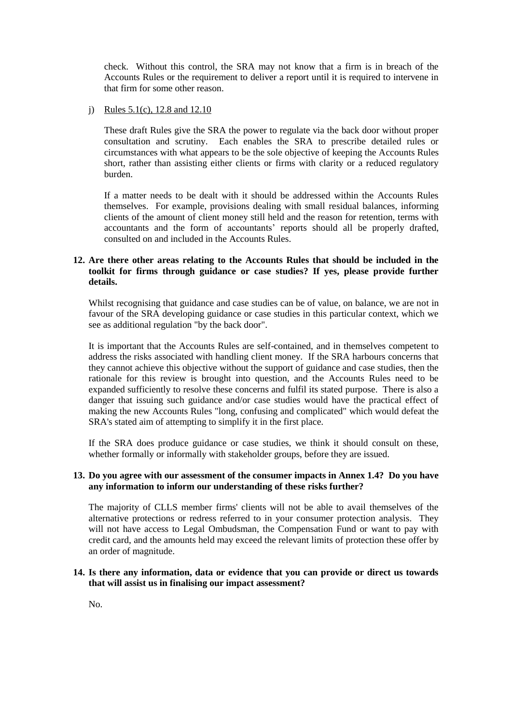check. Without this control, the SRA may not know that a firm is in breach of the Accounts Rules or the requirement to deliver a report until it is required to intervene in that firm for some other reason.

## j) Rules 5.1(c), 12.8 and 12.10

These draft Rules give the SRA the power to regulate via the back door without proper consultation and scrutiny. Each enables the SRA to prescribe detailed rules or circumstances with what appears to be the sole objective of keeping the Accounts Rules short, rather than assisting either clients or firms with clarity or a reduced regulatory burden.

If a matter needs to be dealt with it should be addressed within the Accounts Rules themselves. For example, provisions dealing with small residual balances, informing clients of the amount of client money still held and the reason for retention, terms with accountants and the form of accountants' reports should all be properly drafted, consulted on and included in the Accounts Rules.

# **12. Are there other areas relating to the Accounts Rules that should be included in the toolkit for firms through guidance or case studies? If yes, please provide further details.**

Whilst recognising that guidance and case studies can be of value, on balance, we are not in favour of the SRA developing guidance or case studies in this particular context, which we see as additional regulation "by the back door".

It is important that the Accounts Rules are self-contained, and in themselves competent to address the risks associated with handling client money. If the SRA harbours concerns that they cannot achieve this objective without the support of guidance and case studies, then the rationale for this review is brought into question, and the Accounts Rules need to be expanded sufficiently to resolve these concerns and fulfil its stated purpose. There is also a danger that issuing such guidance and/or case studies would have the practical effect of making the new Accounts Rules "long, confusing and complicated" which would defeat the SRA's stated aim of attempting to simplify it in the first place.

If the SRA does produce guidance or case studies, we think it should consult on these, whether formally or informally with stakeholder groups, before they are issued.

# **13. Do you agree with our assessment of the consumer impacts in Annex 1.4? Do you have any information to inform our understanding of these risks further?**

The majority of CLLS member firms' clients will not be able to avail themselves of the alternative protections or redress referred to in your consumer protection analysis. They will not have access to Legal Ombudsman, the Compensation Fund or want to pay with credit card, and the amounts held may exceed the relevant limits of protection these offer by an order of magnitude.

#### **14. Is there any information, data or evidence that you can provide or direct us towards that will assist us in finalising our impact assessment?**

No.